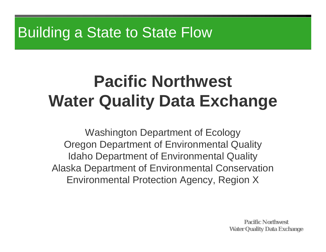# Building a State to State Flow

# **Pacific Northwest Water Quality Data Exchange**

Washington Department of Ecology Oregon Department of Environmental Quality Idaho Department of Environmental Quality Alaska Department of Environmental Conservation Environmental Protection Agency, Region X

> **Pacific Northwest Water Quality Data Exchange**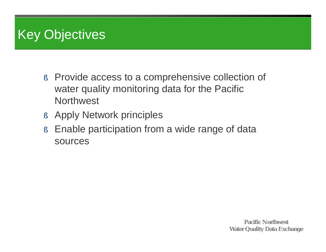# Key Objectives

- § Provide access to a comprehensive collection of water quality monitoring data for the Pacific **Northwest**
- § Apply Network principles
- § Enable participation from a wide range of data sources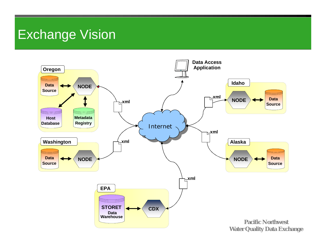#### Exchange Vision

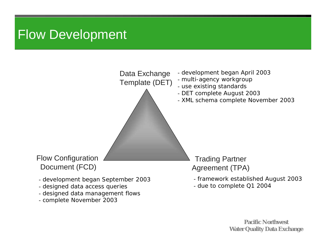### Flow Development

- complete November 2003



**Pacific Northwest Water Quality Data Exchange**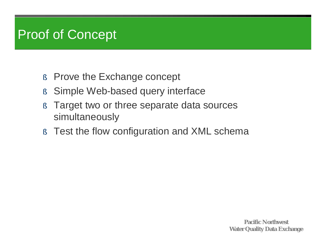## Proof of Concept

- § Prove the Exchange concept
- § Simple Web-based query interface
- § Target two or three separate data sources simultaneously
- § Test the flow configuration and XML schema